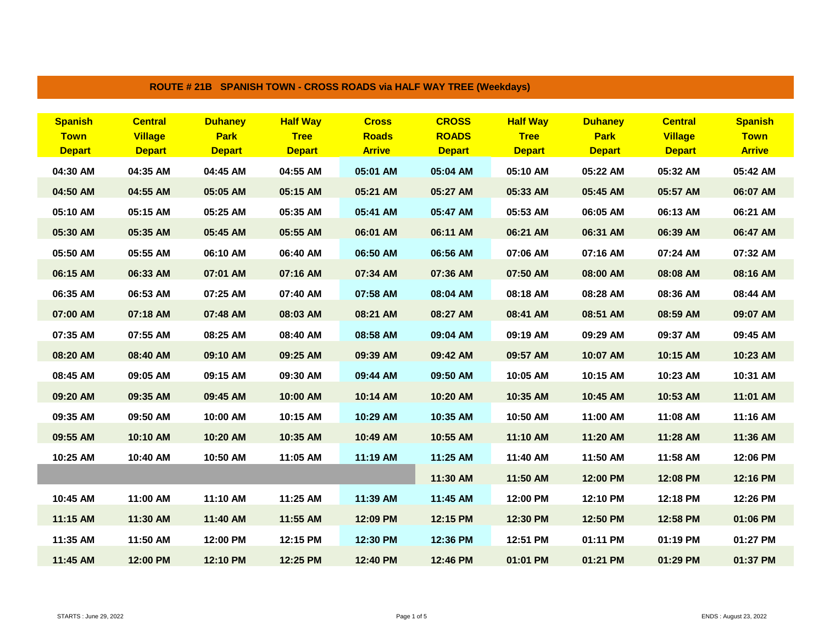| ROUTE # 21B SPANISH TOWN - CROSS ROADS via HALF WAY TREE (Weekdays) |                                                   |                                                |                                                 |                                               |                                               |                                                 |                                                |                                                   |                                                |  |  |
|---------------------------------------------------------------------|---------------------------------------------------|------------------------------------------------|-------------------------------------------------|-----------------------------------------------|-----------------------------------------------|-------------------------------------------------|------------------------------------------------|---------------------------------------------------|------------------------------------------------|--|--|
| <b>Spanish</b><br><b>Town</b><br><b>Depart</b>                      | <b>Central</b><br><b>Village</b><br><b>Depart</b> | <b>Duhaney</b><br><b>Park</b><br><b>Depart</b> | <b>Half Way</b><br><b>Tree</b><br><b>Depart</b> | <b>Cross</b><br><b>Roads</b><br><b>Arrive</b> | <b>CROSS</b><br><b>ROADS</b><br><b>Depart</b> | <b>Half Way</b><br><b>Tree</b><br><b>Depart</b> | <b>Duhaney</b><br><b>Park</b><br><b>Depart</b> | <b>Central</b><br><b>Village</b><br><b>Depart</b> | <b>Spanish</b><br><b>Town</b><br><b>Arrive</b> |  |  |
| 04:30 AM                                                            | 04:35 AM                                          | 04:45 AM                                       | 04:55 AM                                        | 05:01 AM                                      | 05:04 AM                                      | 05:10 AM                                        | 05:22 AM                                       | 05:32 AM                                          | 05:42 AM                                       |  |  |
| 04:50 AM                                                            | 04:55 AM                                          | 05:05 AM                                       | 05:15 AM                                        | 05:21 AM                                      | 05:27 AM                                      | 05:33 AM                                        | 05:45 AM                                       | 05:57 AM                                          | 06:07 AM                                       |  |  |
| 05:10 AM                                                            | 05:15 AM                                          | 05:25 AM                                       | 05:35 AM                                        | 05:41 AM                                      | 05:47 AM                                      | 05:53 AM                                        | 06:05 AM                                       | 06:13 AM                                          | 06:21 AM                                       |  |  |
| 05:30 AM                                                            | 05:35 AM                                          | 05:45 AM                                       | 05:55 AM                                        | 06:01 AM                                      | 06:11 AM                                      | 06:21 AM                                        | 06:31 AM                                       | 06:39 AM                                          | 06:47 AM                                       |  |  |
| 05:50 AM                                                            | 05:55 AM                                          | 06:10 AM                                       | 06:40 AM                                        | 06:50 AM                                      | 06:56 AM                                      | 07:06 AM                                        | 07:16 AM                                       | 07:24 AM                                          | 07:32 AM                                       |  |  |
| 06:15 AM                                                            | 06:33 AM                                          | 07:01 AM                                       | 07:16 AM                                        | 07:34 AM                                      | 07:36 AM                                      | 07:50 AM                                        | 08:00 AM                                       | 08:08 AM                                          | 08:16 AM                                       |  |  |
| 06:35 AM                                                            | 06:53 AM                                          | 07:25 AM                                       | 07:40 AM                                        | 07:58 AM                                      | 08:04 AM                                      | 08:18 AM                                        | 08:28 AM                                       | 08:36 AM                                          | 08:44 AM                                       |  |  |
| 07:00 AM                                                            | 07:18 AM                                          | 07:48 AM                                       | 08:03 AM                                        | 08:21 AM                                      | 08:27 AM                                      | 08:41 AM                                        | 08:51 AM                                       | 08:59 AM                                          | 09:07 AM                                       |  |  |
| 07:35 AM                                                            | 07:55 AM                                          | 08:25 AM                                       | 08:40 AM                                        | 08:58 AM                                      | 09:04 AM                                      | 09:19 AM                                        | 09:29 AM                                       | 09:37 AM                                          | 09:45 AM                                       |  |  |
| 08:20 AM                                                            | 08:40 AM                                          | 09:10 AM                                       | 09:25 AM                                        | 09:39 AM                                      | 09:42 AM                                      | 09:57 AM                                        | 10:07 AM                                       | 10:15 AM                                          | 10:23 AM                                       |  |  |
| 08:45 AM                                                            | 09:05 AM                                          | 09:15 AM                                       | 09:30 AM                                        | 09:44 AM                                      | 09:50 AM                                      | 10:05 AM                                        | 10:15 AM                                       | 10:23 AM                                          | 10:31 AM                                       |  |  |
| 09:20 AM                                                            | 09:35 AM                                          | 09:45 AM                                       | 10:00 AM                                        | 10:14 AM                                      | 10:20 AM                                      | 10:35 AM                                        | 10:45 AM                                       | 10:53 AM                                          | 11:01 AM                                       |  |  |
| 09:35 AM                                                            | 09:50 AM                                          | 10:00 AM                                       | 10:15 AM                                        | 10:29 AM                                      | 10:35 AM                                      | 10:50 AM                                        | 11:00 AM                                       | 11:08 AM                                          | 11:16 AM                                       |  |  |
| 09:55 AM                                                            | 10:10 AM                                          | 10:20 AM                                       | 10:35 AM                                        | 10:49 AM                                      | 10:55 AM                                      | 11:10 AM                                        | 11:20 AM                                       | 11:28 AM                                          | 11:36 AM                                       |  |  |
| 10:25 AM                                                            | 10:40 AM                                          | 10:50 AM                                       | 11:05 AM                                        | 11:19 AM                                      | 11:25 AM                                      | 11:40 AM                                        | 11:50 AM                                       | 11:58 AM                                          | 12:06 PM                                       |  |  |
|                                                                     |                                                   |                                                |                                                 |                                               | 11:30 AM                                      | 11:50 AM                                        | 12:00 PM                                       | 12:08 PM                                          | 12:16 PM                                       |  |  |
| 10:45 AM                                                            | 11:00 AM                                          | 11:10 AM                                       | 11:25 AM                                        | 11:39 AM                                      | 11:45 AM                                      | 12:00 PM                                        | 12:10 PM                                       | 12:18 PM                                          | 12:26 PM                                       |  |  |
| 11:15 AM                                                            | 11:30 AM                                          | 11:40 AM                                       | 11:55 AM                                        | 12:09 PM                                      | 12:15 PM                                      | 12:30 PM                                        | 12:50 PM                                       | 12:58 PM                                          | 01:06 PM                                       |  |  |
| 11:35 AM                                                            | 11:50 AM                                          | 12:00 PM                                       | 12:15 PM                                        | 12:30 PM                                      | 12:36 PM                                      | 12:51 PM                                        | 01:11 PM                                       | 01:19 PM                                          | 01:27 PM                                       |  |  |
| 11:45 AM                                                            | 12:00 PM                                          | 12:10 PM                                       | 12:25 PM                                        | 12:40 PM                                      | 12:46 PM                                      | 01:01 PM                                        | 01:21 PM                                       | 01:29 PM                                          | 01:37 PM                                       |  |  |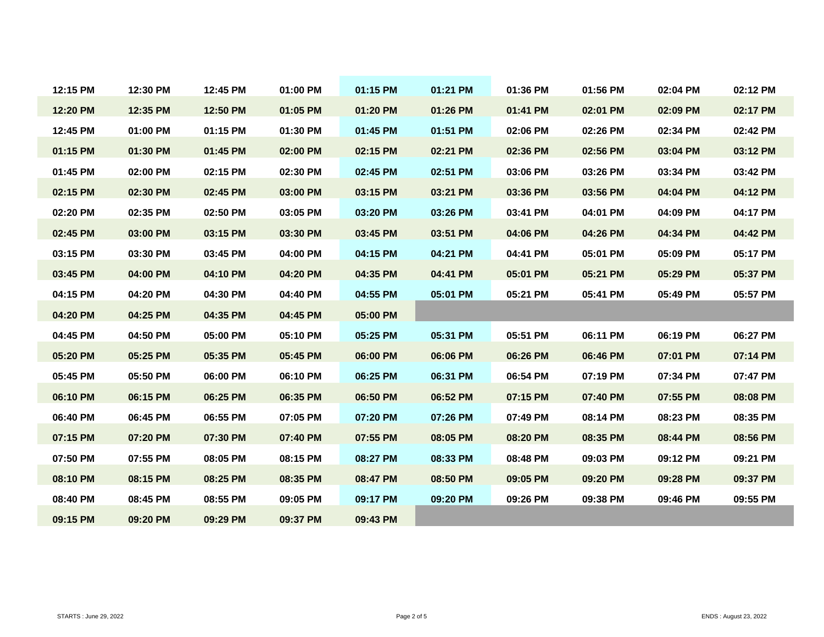| 12:15 PM | 12:30 PM | 12:45 PM | 01:00 PM | 01:15 PM | 01:21 PM | 01:36 PM | 01:56 PM | 02:04 PM | 02:12 PM |
|----------|----------|----------|----------|----------|----------|----------|----------|----------|----------|
| 12:20 PM | 12:35 PM | 12:50 PM | 01:05 PM | 01:20 PM | 01:26 PM | 01:41 PM | 02:01 PM | 02:09 PM | 02:17 PM |
| 12:45 PM | 01:00 PM | 01:15 PM | 01:30 PM | 01:45 PM | 01:51 PM | 02:06 PM | 02:26 PM | 02:34 PM | 02:42 PM |
| 01:15 PM | 01:30 PM | 01:45 PM | 02:00 PM | 02:15 PM | 02:21 PM | 02:36 PM | 02:56 PM | 03:04 PM | 03:12 PM |
| 01:45 PM | 02:00 PM | 02:15 PM | 02:30 PM | 02:45 PM | 02:51 PM | 03:06 PM | 03:26 PM | 03:34 PM | 03:42 PM |
| 02:15 PM | 02:30 PM | 02:45 PM | 03:00 PM | 03:15 PM | 03:21 PM | 03:36 PM | 03:56 PM | 04:04 PM | 04:12 PM |
| 02:20 PM | 02:35 PM | 02:50 PM | 03:05 PM | 03:20 PM | 03:26 PM | 03:41 PM | 04:01 PM | 04:09 PM | 04:17 PM |
| 02:45 PM | 03:00 PM | 03:15 PM | 03:30 PM | 03:45 PM | 03:51 PM | 04:06 PM | 04:26 PM | 04:34 PM | 04:42 PM |
| 03:15 PM | 03:30 PM | 03:45 PM | 04:00 PM | 04:15 PM | 04:21 PM | 04:41 PM | 05:01 PM | 05:09 PM | 05:17 PM |
| 03:45 PM | 04:00 PM | 04:10 PM | 04:20 PM | 04:35 PM | 04:41 PM | 05:01 PM | 05:21 PM | 05:29 PM | 05:37 PM |
| 04:15 PM | 04:20 PM | 04:30 PM | 04:40 PM | 04:55 PM | 05:01 PM | 05:21 PM | 05:41 PM | 05:49 PM | 05:57 PM |
| 04:20 PM | 04:25 PM | 04:35 PM | 04:45 PM | 05:00 PM |          |          |          |          |          |
| 04:45 PM | 04:50 PM | 05:00 PM | 05:10 PM | 05:25 PM | 05:31 PM | 05:51 PM | 06:11 PM | 06:19 PM | 06:27 PM |
| 05:20 PM | 05:25 PM | 05:35 PM | 05:45 PM | 06:00 PM | 06:06 PM | 06:26 PM | 06:46 PM | 07:01 PM | 07:14 PM |
| 05:45 PM | 05:50 PM | 06:00 PM | 06:10 PM | 06:25 PM | 06:31 PM | 06:54 PM | 07:19 PM | 07:34 PM | 07:47 PM |
| 06:10 PM | 06:15 PM | 06:25 PM | 06:35 PM | 06:50 PM | 06:52 PM | 07:15 PM | 07:40 PM | 07:55 PM | 08:08 PM |
| 06:40 PM | 06:45 PM | 06:55 PM | 07:05 PM | 07:20 PM | 07:26 PM | 07:49 PM | 08:14 PM | 08:23 PM | 08:35 PM |
| 07:15 PM | 07:20 PM | 07:30 PM | 07:40 PM | 07:55 PM | 08:05 PM | 08:20 PM | 08:35 PM | 08:44 PM | 08:56 PM |
| 07:50 PM | 07:55 PM | 08:05 PM | 08:15 PM | 08:27 PM | 08:33 PM | 08:48 PM | 09:03 PM | 09:12 PM | 09:21 PM |
| 08:10 PM | 08:15 PM | 08:25 PM | 08:35 PM | 08:47 PM | 08:50 PM | 09:05 PM | 09:20 PM | 09:28 PM | 09:37 PM |
| 08:40 PM | 08:45 PM | 08:55 PM | 09:05 PM | 09:17 PM | 09:20 PM | 09:26 PM | 09:38 PM | 09:46 PM | 09:55 PM |
| 09:15 PM | 09:20 PM | 09:29 PM | 09:37 PM | 09:43 PM |          |          |          |          |          |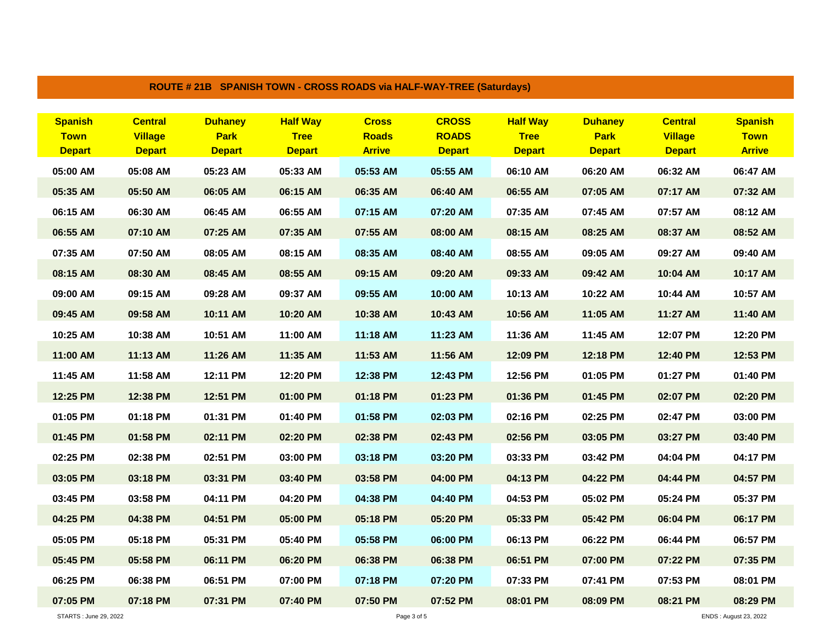| ROUTE # 21B SPANISH TOWN - CROSS ROADS via HALF-WAY-TREE (Saturdays) |                                                   |                                                |                                                 |                                               |                                               |                                                 |                                                |                                                   |                                                |  |  |
|----------------------------------------------------------------------|---------------------------------------------------|------------------------------------------------|-------------------------------------------------|-----------------------------------------------|-----------------------------------------------|-------------------------------------------------|------------------------------------------------|---------------------------------------------------|------------------------------------------------|--|--|
| <b>Spanish</b><br><b>Town</b><br><b>Depart</b>                       | <b>Central</b><br><b>Village</b><br><b>Depart</b> | <b>Duhaney</b><br><b>Park</b><br><b>Depart</b> | <b>Half Way</b><br><b>Tree</b><br><b>Depart</b> | <b>Cross</b><br><b>Roads</b><br><b>Arrive</b> | <b>CROSS</b><br><b>ROADS</b><br><b>Depart</b> | <b>Half Way</b><br><b>Tree</b><br><b>Depart</b> | <b>Duhaney</b><br><b>Park</b><br><b>Depart</b> | <b>Central</b><br><b>Village</b><br><b>Depart</b> | <b>Spanish</b><br><b>Town</b><br><b>Arrive</b> |  |  |
| 05:00 AM                                                             | 05:08 AM                                          | 05:23 AM                                       | 05:33 AM                                        | 05:53 AM                                      | 05:55 AM                                      | 06:10 AM                                        | 06:20 AM                                       | 06:32 AM                                          | 06:47 AM                                       |  |  |
| 05:35 AM                                                             | 05:50 AM                                          | 06:05 AM                                       | 06:15 AM                                        | 06:35 AM                                      | 06:40 AM                                      | 06:55 AM                                        | 07:05 AM                                       | 07:17 AM                                          | 07:32 AM                                       |  |  |
| 06:15 AM                                                             | 06:30 AM                                          | 06:45 AM                                       | 06:55 AM                                        | 07:15 AM                                      | 07:20 AM                                      | 07:35 AM                                        | 07:45 AM                                       | 07:57 AM                                          | 08:12 AM                                       |  |  |
| 06:55 AM                                                             | 07:10 AM                                          | 07:25 AM                                       | 07:35 AM                                        | 07:55 AM                                      | 08:00 AM                                      | 08:15 AM                                        | 08:25 AM                                       | 08:37 AM                                          | 08:52 AM                                       |  |  |
| 07:35 AM                                                             | 07:50 AM                                          | 08:05 AM                                       | 08:15 AM                                        | 08:35 AM                                      | 08:40 AM                                      | 08:55 AM                                        | 09:05 AM                                       | 09:27 AM                                          | 09:40 AM                                       |  |  |
| 08:15 AM                                                             | 08:30 AM                                          | 08:45 AM                                       | 08:55 AM                                        | 09:15 AM                                      | 09:20 AM                                      | 09:33 AM                                        | 09:42 AM                                       | 10:04 AM                                          | 10:17 AM                                       |  |  |
| 09:00 AM                                                             | 09:15 AM                                          | 09:28 AM                                       | 09:37 AM                                        | 09:55 AM                                      | 10:00 AM                                      | 10:13 AM                                        | 10:22 AM                                       | 10:44 AM                                          | 10:57 AM                                       |  |  |
| 09:45 AM                                                             | 09:58 AM                                          | 10:11 AM                                       | 10:20 AM                                        | 10:38 AM                                      | 10:43 AM                                      | 10:56 AM                                        | 11:05 AM                                       | 11:27 AM                                          | 11:40 AM                                       |  |  |
| 10:25 AM                                                             | 10:38 AM                                          | 10:51 AM                                       | 11:00 AM                                        | 11:18 AM                                      | 11:23 AM                                      | 11:36 AM                                        | 11:45 AM                                       | 12:07 PM                                          | 12:20 PM                                       |  |  |
| 11:00 AM                                                             | 11:13 AM                                          | 11:26 AM                                       | 11:35 AM                                        | 11:53 AM                                      | 11:56 AM                                      | 12:09 PM                                        | 12:18 PM                                       | 12:40 PM                                          | 12:53 PM                                       |  |  |
| 11:45 AM                                                             | 11:58 AM                                          | 12:11 PM                                       | 12:20 PM                                        | 12:38 PM                                      | 12:43 PM                                      | 12:56 PM                                        | 01:05 PM                                       | 01:27 PM                                          | 01:40 PM                                       |  |  |
| 12:25 PM                                                             | 12:38 PM                                          | 12:51 PM                                       | 01:00 PM                                        | 01:18 PM                                      | 01:23 PM                                      | 01:36 PM                                        | 01:45 PM                                       | 02:07 PM                                          | 02:20 PM                                       |  |  |
| 01:05 PM                                                             | 01:18 PM                                          | 01:31 PM                                       | 01:40 PM                                        | 01:58 PM                                      | 02:03 PM                                      | 02:16 PM                                        | 02:25 PM                                       | 02:47 PM                                          | 03:00 PM                                       |  |  |
| 01:45 PM                                                             | 01:58 PM                                          | 02:11 PM                                       | 02:20 PM                                        | 02:38 PM                                      | 02:43 PM                                      | 02:56 PM                                        | 03:05 PM                                       | 03:27 PM                                          | 03:40 PM                                       |  |  |
| 02:25 PM                                                             | 02:38 PM                                          | 02:51 PM                                       | 03:00 PM                                        | 03:18 PM                                      | 03:20 PM                                      | 03:33 PM                                        | 03:42 PM                                       | 04:04 PM                                          | 04:17 PM                                       |  |  |
| 03:05 PM                                                             | 03:18 PM                                          | 03:31 PM                                       | 03:40 PM                                        | 03:58 PM                                      | 04:00 PM                                      | 04:13 PM                                        | 04:22 PM                                       | 04:44 PM                                          | 04:57 PM                                       |  |  |
| 03:45 PM                                                             | 03:58 PM                                          | 04:11 PM                                       | 04:20 PM                                        | 04:38 PM                                      | 04:40 PM                                      | 04:53 PM                                        | 05:02 PM                                       | 05:24 PM                                          | 05:37 PM                                       |  |  |
| 04:25 PM                                                             | 04:38 PM                                          | 04:51 PM                                       | 05:00 PM                                        | 05:18 PM                                      | 05:20 PM                                      | 05:33 PM                                        | 05:42 PM                                       | 06:04 PM                                          | 06:17 PM                                       |  |  |
| 05:05 PM                                                             | 05:18 PM                                          | 05:31 PM                                       | 05:40 PM                                        | 05:58 PM                                      | 06:00 PM                                      | 06:13 PM                                        | 06:22 PM                                       | 06:44 PM                                          | 06:57 PM                                       |  |  |
| 05:45 PM                                                             | 05:58 PM                                          | 06:11 PM                                       | 06:20 PM                                        | 06:38 PM                                      | 06:38 PM                                      | 06:51 PM                                        | 07:00 PM                                       | 07:22 PM                                          | 07:35 PM                                       |  |  |
| 06:25 PM                                                             | 06:38 PM                                          | 06:51 PM                                       | 07:00 PM                                        | 07:18 PM                                      | 07:20 PM                                      | 07:33 PM                                        | 07:41 PM                                       | 07:53 PM                                          | 08:01 PM                                       |  |  |
| 07:05 PM                                                             | 07:18 PM                                          | 07:31 PM                                       | 07:40 PM                                        | 07:50 PM                                      | 07:52 PM                                      | 08:01 PM                                        | 08:09 PM                                       | 08:21 PM                                          | 08:29 PM                                       |  |  |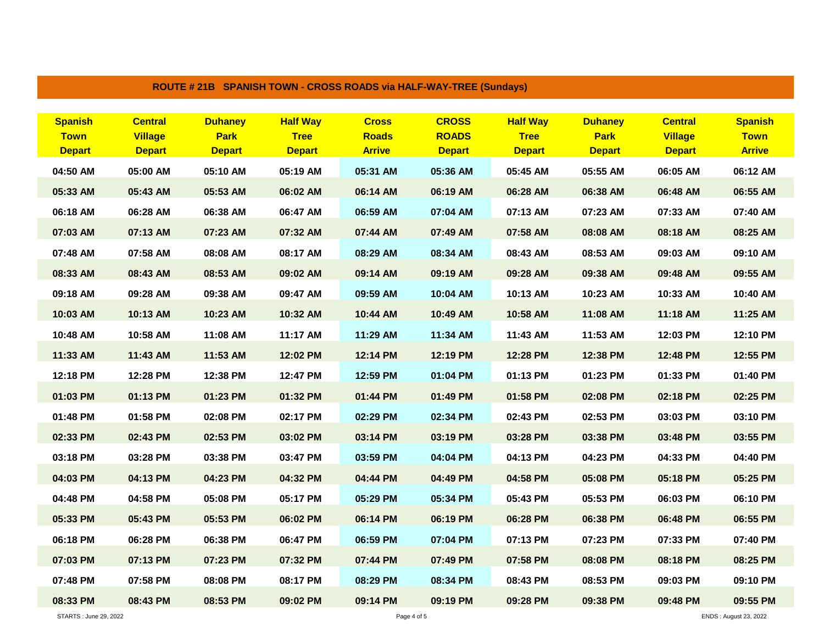|                                                | <b>ROUTE # 21B SPANISH TOWN - CROSS ROADS via HALF-WAY-TREE (Sundays)</b> |                                                |                                                 |                                               |                                               |                                                 |                                                |                                                   |                                                |  |  |  |
|------------------------------------------------|---------------------------------------------------------------------------|------------------------------------------------|-------------------------------------------------|-----------------------------------------------|-----------------------------------------------|-------------------------------------------------|------------------------------------------------|---------------------------------------------------|------------------------------------------------|--|--|--|
| <b>Spanish</b><br><b>Town</b><br><b>Depart</b> | <b>Central</b><br><b>Village</b><br><b>Depart</b>                         | <b>Duhaney</b><br><b>Park</b><br><b>Depart</b> | <b>Half Way</b><br><b>Tree</b><br><b>Depart</b> | <b>Cross</b><br><b>Roads</b><br><b>Arrive</b> | <b>CROSS</b><br><b>ROADS</b><br><b>Depart</b> | <b>Half Way</b><br><b>Tree</b><br><b>Depart</b> | <b>Duhaney</b><br><b>Park</b><br><b>Depart</b> | <b>Central</b><br><b>Village</b><br><b>Depart</b> | <b>Spanish</b><br><b>Town</b><br><b>Arrive</b> |  |  |  |
| 04:50 AM                                       | 05:00 AM                                                                  | 05:10 AM                                       | 05:19 AM                                        | 05:31 AM                                      | 05:36 AM                                      | 05:45 AM                                        | 05:55 AM                                       | 06:05 AM                                          | 06:12 AM                                       |  |  |  |
| 05:33 AM                                       | 05:43 AM                                                                  | 05:53 AM                                       | 06:02 AM                                        | 06:14 AM                                      | 06:19 AM                                      | 06:28 AM                                        | 06:38 AM                                       | 06:48 AM                                          | 06:55 AM                                       |  |  |  |
| 06:18 AM                                       | 06:28 AM                                                                  | 06:38 AM                                       | 06:47 AM                                        | 06:59 AM                                      | 07:04 AM                                      | 07:13 AM                                        | 07:23 AM                                       | 07:33 AM                                          | 07:40 AM                                       |  |  |  |
| 07:03 AM                                       | 07:13 AM                                                                  | 07:23 AM                                       | 07:32 AM                                        | 07:44 AM                                      | 07:49 AM                                      | 07:58 AM                                        | 08:08 AM                                       | 08:18 AM                                          | 08:25 AM                                       |  |  |  |
| 07:48 AM                                       | 07:58 AM                                                                  | 08:08 AM                                       | 08:17 AM                                        | 08:29 AM                                      | 08:34 AM                                      | 08:43 AM                                        | 08:53 AM                                       | 09:03 AM                                          | 09:10 AM                                       |  |  |  |
| 08:33 AM                                       | 08:43 AM                                                                  | 08:53 AM                                       | 09:02 AM                                        | 09:14 AM                                      | 09:19 AM                                      | 09:28 AM                                        | 09:38 AM                                       | 09:48 AM                                          | 09:55 AM                                       |  |  |  |
| 09:18 AM                                       | 09:28 AM                                                                  | 09:38 AM                                       | 09:47 AM                                        | 09:59 AM                                      | 10:04 AM                                      | 10:13 AM                                        | 10:23 AM                                       | 10:33 AM                                          | 10:40 AM                                       |  |  |  |
| 10:03 AM                                       | 10:13 AM                                                                  | 10:23 AM                                       | 10:32 AM                                        | 10:44 AM                                      | 10:49 AM                                      | 10:58 AM                                        | 11:08 AM                                       | 11:18 AM                                          | 11:25 AM                                       |  |  |  |
| 10:48 AM                                       | 10:58 AM                                                                  | 11:08 AM                                       | 11:17 AM                                        | 11:29 AM                                      | 11:34 AM                                      | 11:43 AM                                        | 11:53 AM                                       | 12:03 PM                                          | 12:10 PM                                       |  |  |  |
| 11:33 AM                                       | $11:43$ AM                                                                | 11:53 AM                                       | 12:02 PM                                        | 12:14 PM                                      | 12:19 PM                                      | 12:28 PM                                        | 12:38 PM                                       | 12:48 PM                                          | 12:55 PM                                       |  |  |  |
| 12:18 PM                                       | 12:28 PM                                                                  | 12:38 PM                                       | 12:47 PM                                        | 12:59 PM                                      | 01:04 PM                                      | 01:13 PM                                        | 01:23 PM                                       | 01:33 PM                                          | 01:40 PM                                       |  |  |  |
| 01:03 PM                                       | 01:13 PM                                                                  | 01:23 PM                                       | 01:32 PM                                        | 01:44 PM                                      | 01:49 PM                                      | 01:58 PM                                        | 02:08 PM                                       | 02:18 PM                                          | 02:25 PM                                       |  |  |  |
| 01:48 PM                                       | 01:58 PM                                                                  | 02:08 PM                                       | 02:17 PM                                        | 02:29 PM                                      | 02:34 PM                                      | 02:43 PM                                        | 02:53 PM                                       | 03:03 PM                                          | 03:10 PM                                       |  |  |  |
| 02:33 PM                                       | 02:43 PM                                                                  | 02:53 PM                                       | 03:02 PM                                        | 03:14 PM                                      | 03:19 PM                                      | 03:28 PM                                        | 03:38 PM                                       | 03:48 PM                                          | 03:55 PM                                       |  |  |  |
| 03:18 PM                                       | 03:28 PM                                                                  | 03:38 PM                                       | 03:47 PM                                        | 03:59 PM                                      | 04:04 PM                                      | 04:13 PM                                        | 04:23 PM                                       | 04:33 PM                                          | 04:40 PM                                       |  |  |  |
| 04:03 PM                                       | 04:13 PM                                                                  | 04:23 PM                                       | 04:32 PM                                        | 04:44 PM                                      | 04:49 PM                                      | 04:58 PM                                        | 05:08 PM                                       | 05:18 PM                                          | 05:25 PM                                       |  |  |  |
| 04:48 PM                                       | 04:58 PM                                                                  | 05:08 PM                                       | 05:17 PM                                        | 05:29 PM                                      | 05:34 PM                                      | 05:43 PM                                        | 05:53 PM                                       | 06:03 PM                                          | 06:10 PM                                       |  |  |  |
| 05:33 PM                                       | 05:43 PM                                                                  | 05:53 PM                                       | 06:02 PM                                        | 06:14 PM                                      | 06:19 PM                                      | 06:28 PM                                        | 06:38 PM                                       | 06:48 PM                                          | 06:55 PM                                       |  |  |  |
| 06:18 PM                                       | 06:28 PM                                                                  | 06:38 PM                                       | 06:47 PM                                        | 06:59 PM                                      | 07:04 PM                                      | 07:13 PM                                        | 07:23 PM                                       | 07:33 PM                                          | 07:40 PM                                       |  |  |  |
| 07:03 PM                                       | 07:13 PM                                                                  | 07:23 PM                                       | 07:32 PM                                        | 07:44 PM                                      | 07:49 PM                                      | 07:58 PM                                        | 08:08 PM                                       | 08:18 PM                                          | 08:25 PM                                       |  |  |  |
| 07:48 PM                                       | 07:58 PM                                                                  | 08:08 PM                                       | 08:17 PM                                        | 08:29 PM                                      | 08:34 PM                                      | 08:43 PM                                        | 08:53 PM                                       | 09:03 PM                                          | 09:10 PM                                       |  |  |  |
| 08:33 PM                                       | 08:43 PM                                                                  | 08:53 PM                                       | 09:02 PM                                        | 09:14 PM                                      | 09:19 PM                                      | 09:28 PM                                        | 09:38 PM                                       | 09:48 PM                                          | 09:55 PM                                       |  |  |  |